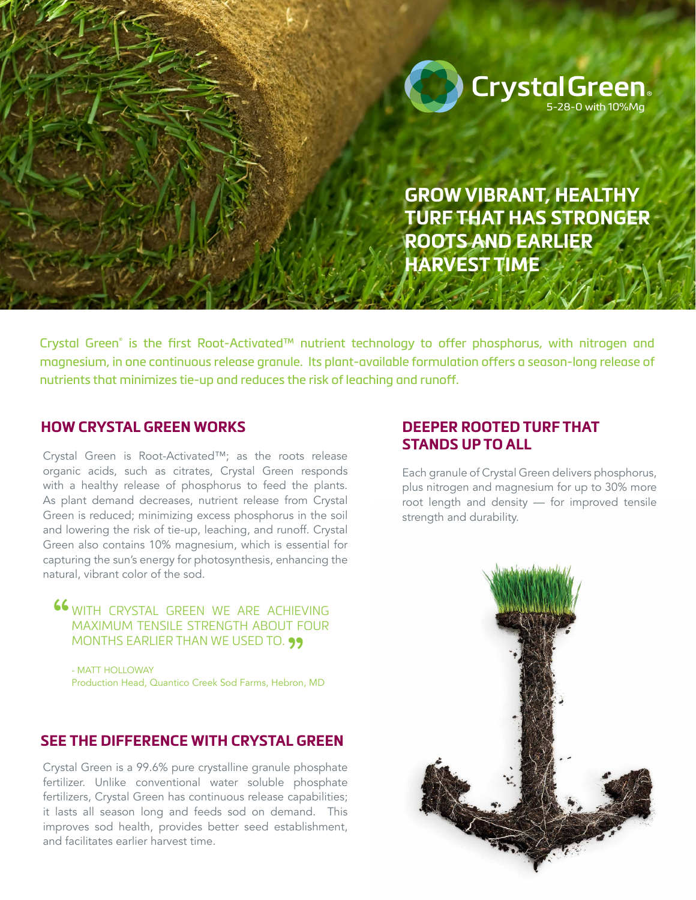

**GROW VIBRANT, HEALTHY TURF THAT HAS STRONGER ROOTS AND EARLIER HARVEST TIME**

Crystal Green® is the first Root-Activated™ nutrient technology to offer phosphorus, with nitrogen and magnesium, in one continuous release granule. Its plant-available formulation offers a season-long release of nutrients that minimizes tie-up and reduces the risk of leaching and runoff.

### **HOW CRYSTAL GREEN WORKS**

Crystal Green is Root-Activated™; as the roots release organic acids, such as citrates, Crystal Green responds with a healthy release of phosphorus to feed the plants. As plant demand decreases, nutrient release from Crystal Green is reduced; minimizing excess phosphorus in the soil and lowering the risk of tie-up, leaching, and runoff. Crystal Green also contains 10% magnesium, which is essential for capturing the sun's energy for photosynthesis, enhancing the natural, vibrant color of the sod.

66 WITH CRYSTAL GREEN WE ARE ACHIEVING MAXIMUM TENSILE STRENGTH ABOUT FOUR MONTHS EARLIER THAN WE USED TO. 99<br>- matt holloway

- MATT HOLLOWAY Production Head, Quantico Creek Sod Farms, Hebron, MD

## **SEE THE DIFFERENCE WITH CRYSTAL GREEN**

Crystal Green is a 99.6% pure crystalline granule phosphate fertilizer. Unlike conventional water soluble phosphate fertilizers, Crystal Green has continuous release capabilities; it lasts all season long and feeds sod on demand. This improves sod health, provides better seed establishment, and facilitates earlier harvest time.

# **DEEPER ROOTED TURF THAT STANDS UP TO ALL**

Each granule of Crystal Green delivers phosphorus, plus nitrogen and magnesium for up to 30% more root length and density — for improved tensile strength and durability.